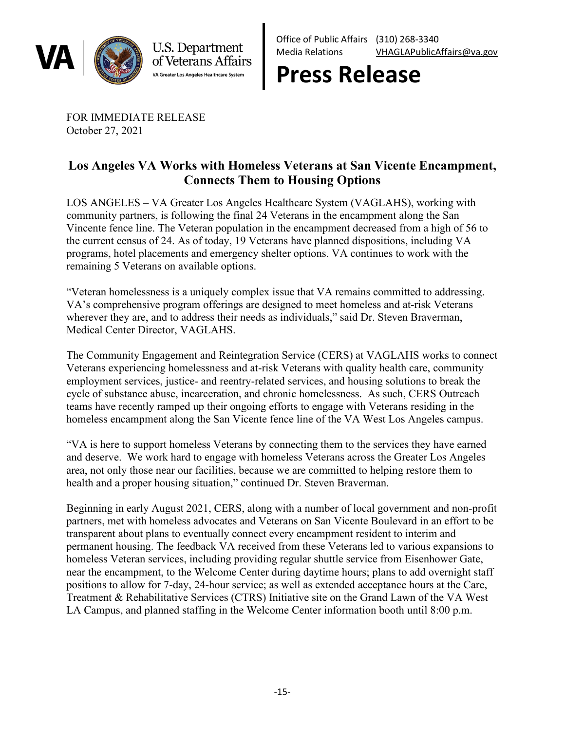

U.S. Department of Veterans Affairs VA Greater Los Angeles Healthcare System

Office of Public Affairs (310) 268-3340 Media Relations [VHAGLAPublicAffairs@va.gov](mailto:VHAGLAPublicAffairs@va.gov)

## **Press Release**

FOR IMMEDIATE RELEASE October 27, 2021

## **Los Angeles VA Works with Homeless Veterans at San Vicente Encampment, Connects Them to Housing Options**

LOS ANGELES – VA Greater Los Angeles Healthcare System (VAGLAHS), working with community partners, is following the final 24 Veterans in the encampment along the San Vincente fence line. The Veteran population in the encampment decreased from a high of 56 to the current census of 24. As of today, 19 Veterans have planned dispositions, including VA programs, hotel placements and emergency shelter options. VA continues to work with the remaining 5 Veterans on available options.

"Veteran homelessness is a uniquely complex issue that VA remains committed to addressing. VA's comprehensive program offerings are designed to meet homeless and at-risk Veterans wherever they are, and to address their needs as individuals," said Dr. Steven Braverman, Medical Center Director, VAGLAHS.

The Community Engagement and Reintegration Service (CERS) at VAGLAHS works to connect Veterans experiencing homelessness and at-risk Veterans with quality health care, community employment services, justice- and reentry-related services, and housing solutions to break the cycle of substance abuse, incarceration, and chronic homelessness. As such, CERS Outreach teams have recently ramped up their ongoing efforts to engage with Veterans residing in the homeless encampment along the San Vicente fence line of the VA West Los Angeles campus.

"VA is here to support homeless Veterans by connecting them to the services they have earned and deserve. We work hard to engage with homeless Veterans across the Greater Los Angeles area, not only those near our facilities, because we are committed to helping restore them to health and a proper housing situation," continued Dr. Steven Braverman.

Beginning in early August 2021, CERS, along with a number of local government and non-profit partners, met with homeless advocates and Veterans on San Vicente Boulevard in an effort to be transparent about plans to eventually connect every encampment resident to interim and permanent housing. The feedback VA received from these Veterans led to various expansions to homeless Veteran services, including providing regular shuttle service from Eisenhower Gate, near the encampment, to the Welcome Center during daytime hours; plans to add overnight staff positions to allow for 7-day, 24-hour service; as well as extended acceptance hours at the Care, Treatment & Rehabilitative Services (CTRS) Initiative site on the Grand Lawn of the VA West LA Campus, and planned staffing in the Welcome Center information booth until 8:00 p.m.